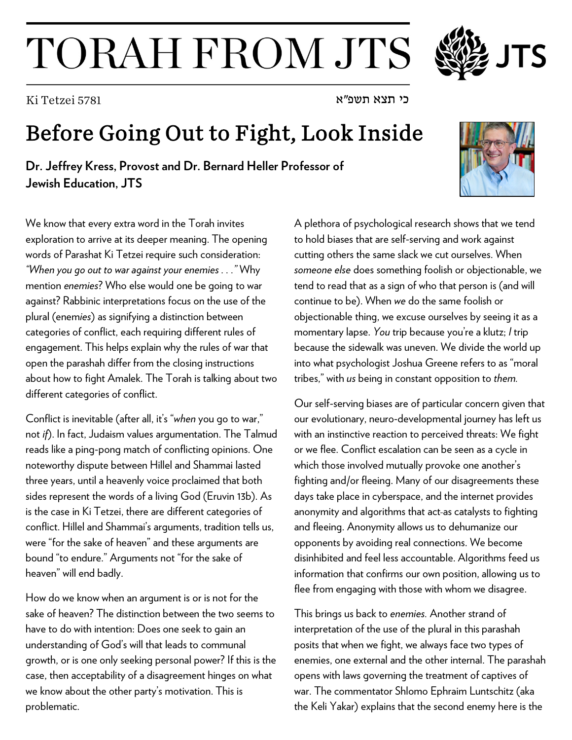## TORAH FROM JTS

## Before Going Out to Fight, Look Inside

**Dr. Jeffrey Kress, Provost and Dr. Bernard Heller Professor of Jewish Education, JTS**

We know that every extra word in the Torah invites exploration to arrive at its deeper meaning. The opening words of Parashat Ki Tetzei require such consideration: *"When you go out to war against your enemies . . ."* Why mention *enemies*? Who else would one be going to war against? Rabbinic interpretations focus on the use of the plural (enem*ies*) as signifying a distinction between categories of conflict, each requiring different rules of engagement. This helps explain why the rules of war that open the parashah differ from the closing instructions about how to fight Amalek. The Torah is talking about two different categories of conflict.

Conflict is inevitable (after all, it's "*when* you go to war," not *if*). In fact, Judaism values argumentation. The Talmud reads like a ping-pong match of conflicting opinions. One noteworthy dispute between Hillel and Shammai lasted three years, until a heavenly voice proclaimed that both sides represent the words of a living God (Eruvin 13b). As is the case in Ki Tetzei, there are different categories of conflict. Hillel and Shammai's arguments, tradition tells us, were "for the sake of heaven" and these arguments are bound "to endure." Arguments not "for the sake of heaven" will end badly.

How do we know when an argument is or is not for the sake of heaven? The distinction between the two seems to have to do with intention: Does one seek to gain an understanding of God's will that leads to communal growth, or is one only seeking personal power? If this is the case, then acceptability of a disagreement hinges on what we know about the other party's motivation. This is problematic.

A plethora of psychological research shows that we tend to hold biases that are self-serving and work against cutting others the same slack we cut ourselves. When *someone else* does something foolish or objectionable, we tend to read that as a sign of who that person is (and will continue to be). When *we* do the same foolish or objectionable thing, we excuse ourselves by seeing it as a momentary lapse. *You* trip because you're a klutz; *I* trip because the sidewalk was uneven. We divide the world up into what psychologist Joshua Greene refers to as "moral tribes," with *us* being in constant opposition to *them.*

Our self-serving biases are of particular concern given that our evolutionary, neuro-developmental journey has left us with an instinctive reaction to perceived threats: We fight or we flee. Conflict escalation can be seen as a cycle in which those involved mutually provoke one another's fighting and/or fleeing. Many of our disagreements these days take place in cyberspace, and the internet provides anonymity and algorithms that act-as catalysts to fighting and fleeing. Anonymity allows us to dehumanize our opponents by avoiding real connections. We become disinhibited and feel less accountable. Algorithms feed us information that confirms our own position, allowing us to flee from engaging with those with whom we disagree.

This brings us back to *enemies.* Another strand of interpretation of the use of the plural in this parashah posits that when we fight, we always face two types of enemies, one external and the other internal. The parashah opens with laws governing the treatment of captives of war. The commentator Shlomo Ephraim Luntschitz (aka the Keli Yakar) explains that the second enemy here is the





כי תצא תשפ"א 5781 Tetzei Ki